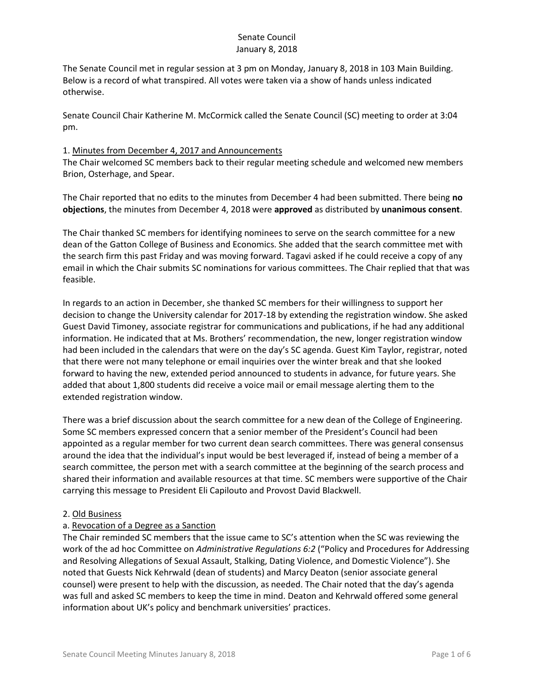The Senate Council met in regular session at 3 pm on Monday, January 8, 2018 in 103 Main Building. Below is a record of what transpired. All votes were taken via a show of hands unless indicated otherwise.

Senate Council Chair Katherine M. McCormick called the Senate Council (SC) meeting to order at 3:04 pm.

#### 1. Minutes from December 4, 2017 and Announcements

The Chair welcomed SC members back to their regular meeting schedule and welcomed new members Brion, Osterhage, and Spear.

The Chair reported that no edits to the minutes from December 4 had been submitted. There being **no objections**, the minutes from December 4, 2018 were **approved** as distributed by **unanimous consent**.

The Chair thanked SC members for identifying nominees to serve on the search committee for a new dean of the Gatton College of Business and Economics. She added that the search committee met with the search firm this past Friday and was moving forward. Tagavi asked if he could receive a copy of any email in which the Chair submits SC nominations for various committees. The Chair replied that that was feasible.

In regards to an action in December, she thanked SC members for their willingness to support her decision to change the University calendar for 2017-18 by extending the registration window. She asked Guest David Timoney, associate registrar for communications and publications, if he had any additional information. He indicated that at Ms. Brothers' recommendation, the new, longer registration window had been included in the calendars that were on the day's SC agenda. Guest Kim Taylor, registrar, noted that there were not many telephone or email inquiries over the winter break and that she looked forward to having the new, extended period announced to students in advance, for future years. She added that about 1,800 students did receive a voice mail or email message alerting them to the extended registration window.

There was a brief discussion about the search committee for a new dean of the College of Engineering. Some SC members expressed concern that a senior member of the President's Council had been appointed as a regular member for two current dean search committees. There was general consensus around the idea that the individual's input would be best leveraged if, instead of being a member of a search committee, the person met with a search committee at the beginning of the search process and shared their information and available resources at that time. SC members were supportive of the Chair carrying this message to President Eli Capilouto and Provost David Blackwell.

#### 2. Old Business

### a. Revocation of a Degree as a Sanction

The Chair reminded SC members that the issue came to SC's attention when the SC was reviewing the work of the ad hoc Committee on *Administrative Regulations 6:2* ("Policy and Procedures for Addressing and Resolving Allegations of Sexual Assault, Stalking, Dating Violence, and Domestic Violence"). She noted that Guests Nick Kehrwald (dean of students) and Marcy Deaton (senior associate general counsel) were present to help with the discussion, as needed. The Chair noted that the day's agenda was full and asked SC members to keep the time in mind. Deaton and Kehrwald offered some general information about UK's policy and benchmark universities' practices.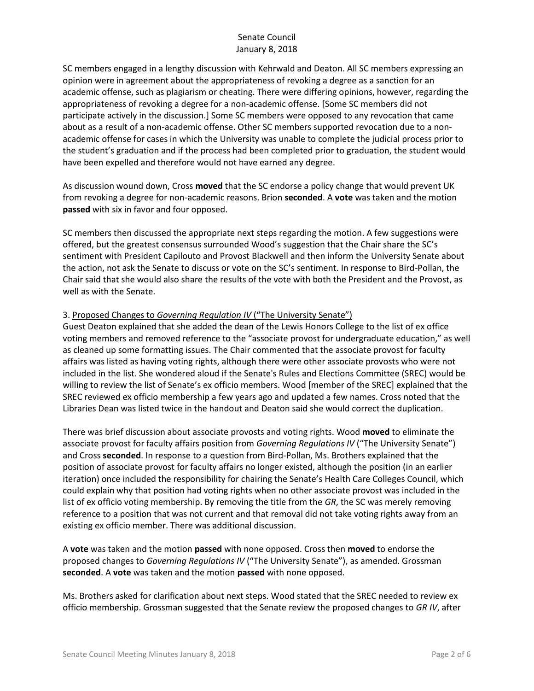SC members engaged in a lengthy discussion with Kehrwald and Deaton. All SC members expressing an opinion were in agreement about the appropriateness of revoking a degree as a sanction for an academic offense, such as plagiarism or cheating. There were differing opinions, however, regarding the appropriateness of revoking a degree for a non-academic offense. [Some SC members did not participate actively in the discussion.] Some SC members were opposed to any revocation that came about as a result of a non-academic offense. Other SC members supported revocation due to a nonacademic offense for cases in which the University was unable to complete the judicial process prior to the student's graduation and if the process had been completed prior to graduation, the student would have been expelled and therefore would not have earned any degree.

As discussion wound down, Cross **moved** that the SC endorse a policy change that would prevent UK from revoking a degree for non-academic reasons. Brion **seconded**. A **vote** was taken and the motion **passed** with six in favor and four opposed.

SC members then discussed the appropriate next steps regarding the motion. A few suggestions were offered, but the greatest consensus surrounded Wood's suggestion that the Chair share the SC's sentiment with President Capilouto and Provost Blackwell and then inform the University Senate about the action, not ask the Senate to discuss or vote on the SC's sentiment. In response to Bird-Pollan, the Chair said that she would also share the results of the vote with both the President and the Provost, as well as with the Senate.

### 3. Proposed Changes to *Governing Regulation IV* ("The University Senate")

Guest Deaton explained that she added the dean of the Lewis Honors College to the list of ex office voting members and removed reference to the "associate provost for undergraduate education," as well as cleaned up some formatting issues. The Chair commented that the associate provost for faculty affairs was listed as having voting rights, although there were other associate provosts who were not included in the list. She wondered aloud if the Senate's Rules and Elections Committee (SREC) would be willing to review the list of Senate's ex officio members. Wood [member of the SREC] explained that the SREC reviewed ex officio membership a few years ago and updated a few names. Cross noted that the Libraries Dean was listed twice in the handout and Deaton said she would correct the duplication.

There was brief discussion about associate provosts and voting rights. Wood **moved** to eliminate the associate provost for faculty affairs position from *Governing Regulations IV* ("The University Senate") and Cross **seconded**. In response to a question from Bird-Pollan, Ms. Brothers explained that the position of associate provost for faculty affairs no longer existed, although the position (in an earlier iteration) once included the responsibility for chairing the Senate's Health Care Colleges Council, which could explain why that position had voting rights when no other associate provost was included in the list of ex officio voting membership. By removing the title from the *GR*, the SC was merely removing reference to a position that was not current and that removal did not take voting rights away from an existing ex officio member. There was additional discussion.

A **vote** was taken and the motion **passed** with none opposed. Cross then **moved** to endorse the proposed changes to *Governing Regulations IV* ("The University Senate"), as amended. Grossman **seconded**. A **vote** was taken and the motion **passed** with none opposed.

Ms. Brothers asked for clarification about next steps. Wood stated that the SREC needed to review ex officio membership. Grossman suggested that the Senate review the proposed changes to *GR IV*, after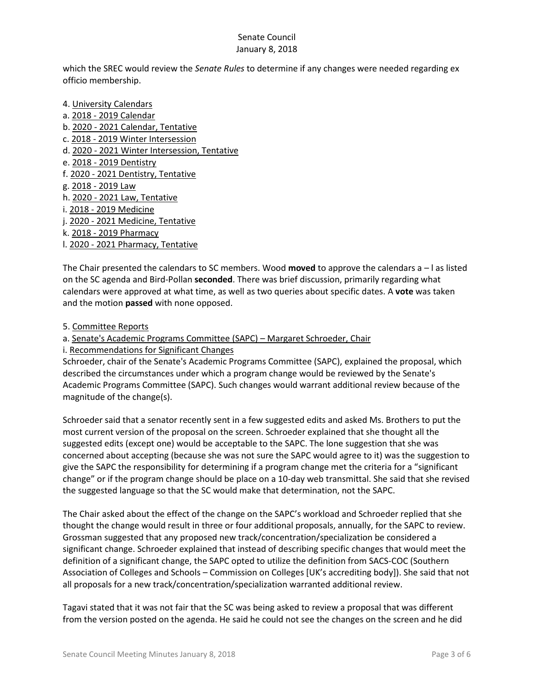which the SREC would review the *Senate Rules* to determine if any changes were needed regarding ex officio membership.

- 4. University Calendars
- a. 2018 2019 Calendar
- b. 2020 2021 Calendar, Tentative
- c. 2018 2019 Winter Intersession
- d. 2020 2021 Winter Intersession, Tentative
- e. 2018 2019 Dentistry
- f. 2020 2021 Dentistry, Tentative
- g. 2018 2019 Law
- h. 2020 2021 Law, Tentative
- i. 2018 2019 Medicine
- j. 2020 2021 Medicine, Tentative
- k. 2018 2019 Pharmacy
- l. 2020 2021 Pharmacy, Tentative

The Chair presented the calendars to SC members. Wood **moved** to approve the calendars a – l as listed on the SC agenda and Bird-Pollan **seconded**. There was brief discussion, primarily regarding what calendars were approved at what time, as well as two queries about specific dates. A **vote** was taken and the motion **passed** with none opposed.

- 5. Committee Reports
- a. Senate's Academic Programs Committee (SAPC) Margaret Schroeder, Chair
- i. Recommendations for Significant Changes

Schroeder, chair of the Senate's Academic Programs Committee (SAPC), explained the proposal, which described the circumstances under which a program change would be reviewed by the Senate's Academic Programs Committee (SAPC). Such changes would warrant additional review because of the magnitude of the change(s).

Schroeder said that a senator recently sent in a few suggested edits and asked Ms. Brothers to put the most current version of the proposal on the screen. Schroeder explained that she thought all the suggested edits (except one) would be acceptable to the SAPC. The lone suggestion that she was concerned about accepting (because she was not sure the SAPC would agree to it) was the suggestion to give the SAPC the responsibility for determining if a program change met the criteria for a "significant change" or if the program change should be place on a 10-day web transmittal. She said that she revised the suggested language so that the SC would make that determination, not the SAPC.

The Chair asked about the effect of the change on the SAPC's workload and Schroeder replied that she thought the change would result in three or four additional proposals, annually, for the SAPC to review. Grossman suggested that any proposed new track/concentration/specialization be considered a significant change. Schroeder explained that instead of describing specific changes that would meet the definition of a significant change, the SAPC opted to utilize the definition from SACS-COC (Southern Association of Colleges and Schools – Commission on Colleges [UK's accrediting body]). She said that not all proposals for a new track/concentration/specialization warranted additional review.

Tagavi stated that it was not fair that the SC was being asked to review a proposal that was different from the version posted on the agenda. He said he could not see the changes on the screen and he did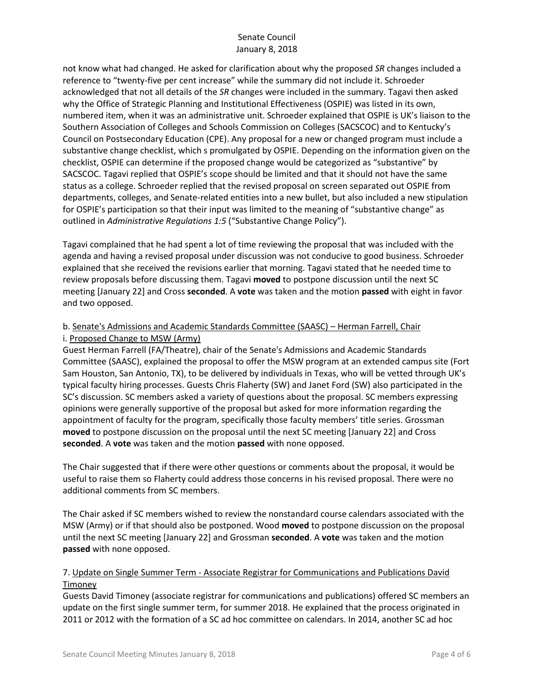not know what had changed. He asked for clarification about why the proposed *SR* changes included a reference to "twenty-five per cent increase" while the summary did not include it. Schroeder acknowledged that not all details of the *SR* changes were included in the summary. Tagavi then asked why the Office of Strategic Planning and Institutional Effectiveness (OSPIE) was listed in its own, numbered item, when it was an administrative unit. Schroeder explained that OSPIE is UK's liaison to the Southern Association of Colleges and Schools Commission on Colleges (SACSCOC) and to Kentucky's Council on Postsecondary Education (CPE). Any proposal for a new or changed program must include a substantive change checklist, which s promulgated by OSPIE. Depending on the information given on the checklist, OSPIE can determine if the proposed change would be categorized as "substantive" by SACSCOC. Tagavi replied that OSPIE's scope should be limited and that it should not have the same status as a college. Schroeder replied that the revised proposal on screen separated out OSPIE from departments, colleges, and Senate-related entities into a new bullet, but also included a new stipulation for OSPIE's participation so that their input was limited to the meaning of "substantive change" as outlined in *Administrative Regulations 1:5* ("Substantive Change Policy").

Tagavi complained that he had spent a lot of time reviewing the proposal that was included with the agenda and having a revised proposal under discussion was not conducive to good business. Schroeder explained that she received the revisions earlier that morning. Tagavi stated that he needed time to review proposals before discussing them. Tagavi **moved** to postpone discussion until the next SC meeting [January 22] and Cross **seconded**. A **vote** was taken and the motion **passed** with eight in favor and two opposed.

# b. Senate's Admissions and Academic Standards Committee (SAASC) – Herman Farrell, Chair i. Proposed Change to MSW (Army)

Guest Herman Farrell (FA/Theatre), chair of the Senate's Admissions and Academic Standards Committee (SAASC), explained the proposal to offer the MSW program at an extended campus site (Fort Sam Houston, San Antonio, TX), to be delivered by individuals in Texas, who will be vetted through UK's typical faculty hiring processes. Guests Chris Flaherty (SW) and Janet Ford (SW) also participated in the SC's discussion. SC members asked a variety of questions about the proposal. SC members expressing opinions were generally supportive of the proposal but asked for more information regarding the appointment of faculty for the program, specifically those faculty members' title series. Grossman **moved** to postpone discussion on the proposal until the next SC meeting [January 22] and Cross **seconded**. A **vote** was taken and the motion **passed** with none opposed.

The Chair suggested that if there were other questions or comments about the proposal, it would be useful to raise them so Flaherty could address those concerns in his revised proposal. There were no additional comments from SC members.

The Chair asked if SC members wished to review the nonstandard course calendars associated with the MSW (Army) or if that should also be postponed. Wood **moved** to postpone discussion on the proposal until the next SC meeting [January 22] and Grossman **seconded**. A **vote** was taken and the motion **passed** with none opposed.

# 7. Update on Single Summer Term - Associate Registrar for Communications and Publications David **Timoney**

Guests David Timoney (associate registrar for communications and publications) offered SC members an update on the first single summer term, for summer 2018. He explained that the process originated in 2011 or 2012 with the formation of a SC ad hoc committee on calendars. In 2014, another SC ad hoc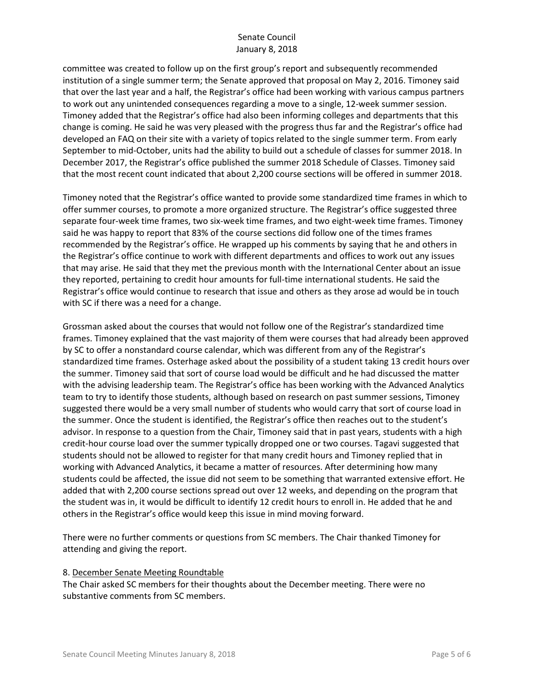committee was created to follow up on the first group's report and subsequently recommended institution of a single summer term; the Senate approved that proposal on May 2, 2016. Timoney said that over the last year and a half, the Registrar's office had been working with various campus partners to work out any unintended consequences regarding a move to a single, 12-week summer session. Timoney added that the Registrar's office had also been informing colleges and departments that this change is coming. He said he was very pleased with the progress thus far and the Registrar's office had developed an FAQ on their site with a variety of topics related to the single summer term. From early September to mid-October, units had the ability to build out a schedule of classes for summer 2018. In December 2017, the Registrar's office published the summer 2018 Schedule of Classes. Timoney said that the most recent count indicated that about 2,200 course sections will be offered in summer 2018.

Timoney noted that the Registrar's office wanted to provide some standardized time frames in which to offer summer courses, to promote a more organized structure. The Registrar's office suggested three separate four-week time frames, two six-week time frames, and two eight-week time frames. Timoney said he was happy to report that 83% of the course sections did follow one of the times frames recommended by the Registrar's office. He wrapped up his comments by saying that he and others in the Registrar's office continue to work with different departments and offices to work out any issues that may arise. He said that they met the previous month with the International Center about an issue they reported, pertaining to credit hour amounts for full-time international students. He said the Registrar's office would continue to research that issue and others as they arose ad would be in touch with SC if there was a need for a change.

Grossman asked about the courses that would not follow one of the Registrar's standardized time frames. Timoney explained that the vast majority of them were courses that had already been approved by SC to offer a nonstandard course calendar, which was different from any of the Registrar's standardized time frames. Osterhage asked about the possibility of a student taking 13 credit hours over the summer. Timoney said that sort of course load would be difficult and he had discussed the matter with the advising leadership team. The Registrar's office has been working with the Advanced Analytics team to try to identify those students, although based on research on past summer sessions, Timoney suggested there would be a very small number of students who would carry that sort of course load in the summer. Once the student is identified, the Registrar's office then reaches out to the student's advisor. In response to a question from the Chair, Timoney said that in past years, students with a high credit-hour course load over the summer typically dropped one or two courses. Tagavi suggested that students should not be allowed to register for that many credit hours and Timoney replied that in working with Advanced Analytics, it became a matter of resources. After determining how many students could be affected, the issue did not seem to be something that warranted extensive effort. He added that with 2,200 course sections spread out over 12 weeks, and depending on the program that the student was in, it would be difficult to identify 12 credit hours to enroll in. He added that he and others in the Registrar's office would keep this issue in mind moving forward.

There were no further comments or questions from SC members. The Chair thanked Timoney for attending and giving the report.

#### 8. December Senate Meeting Roundtable

The Chair asked SC members for their thoughts about the December meeting. There were no substantive comments from SC members.